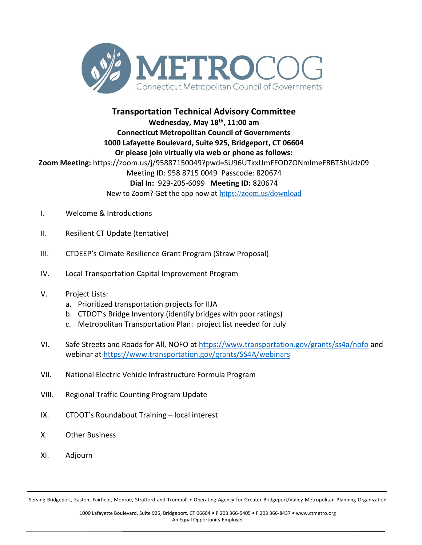

## **Transportation Technical Advisory Committee**

**Wednesday, May 18th , 11:00 am Connecticut Metropolitan Council of Governments 1000 Lafayette Boulevard, Suite 925, Bridgeport, CT 06604 Or please join virtually via web or phone as follows: Zoom Meeting:** https://zoom.us/j/95887150049?pwd=SU96UTkxUmFFODZONmlmeFRBT3hUdz09 Meeting ID: 958 8715 0049 Passcode: 820674 **Dial In:** 929-205-6099 **Meeting ID:** 820674 New to Zoom? Get the app now at <https://zoom.us/download>

- I. Welcome & Introductions
- II. Resilient CT Update (tentative)
- III. CTDEEP's Climate Resilience Grant Program (Straw Proposal)
- IV. Local Transportation Capital Improvement Program
- V. Project Lists:
	- a. Prioritized transportation projects for IIJA
	- b. CTDOT's Bridge Inventory (identify bridges with poor ratings)
	- c. Metropolitan Transportation Plan: project list needed for July
- VI. Safe Streets and Roads for All, NOFO at<https://www.transportation.gov/grants/ss4a/nofo> and webinar at<https://www.transportation.gov/grants/SS4A/webinars>
- VII. National Electric Vehicle Infrastructure Formula Program
- VIII. Regional Traffic Counting Program Update
- IX. CTDOT's Roundabout Training local interest
- X. Other Business
- XI. Adjourn

Serving Bridgeport, Easton, Fairfield, Monroe, Stratford and Trumbull • Operating Agency for Greater Bridgeport/Valley Metropolitan Planning Organization

1000 Lafayette Boulevard, Suite 925, Bridgeport, CT 06604 • P 203 366-5405 • F 203 366-8437 • www.ctmetro.org An Equal Opportunity Employer